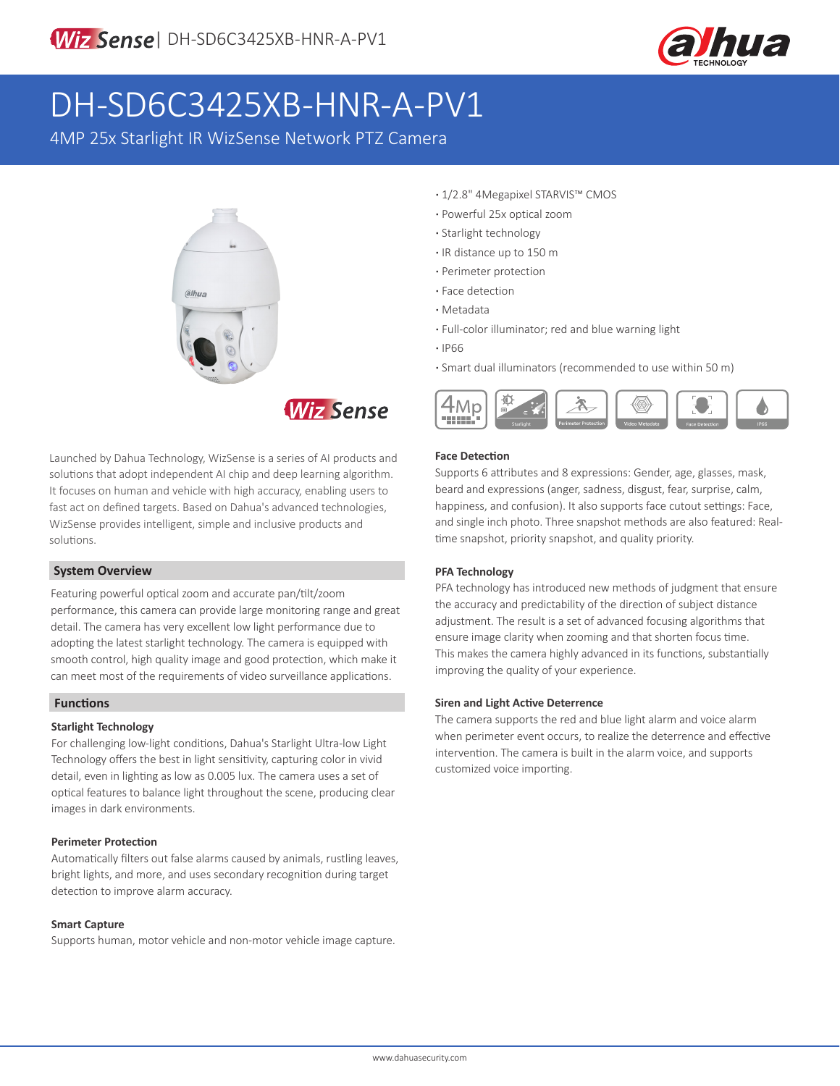

# DH-SD6C3425XB-HNR-A-PV1

4MP 25x Starlight IR WizSense Network PTZ Camera





Launched by Dahua Technology, WizSense is a series of AI products and solutions that adopt independent AI chip and deep learning algorithm. It focuses on human and vehicle with high accuracy, enabling users to fast act on defined targets. Based on Dahua's advanced technologies, WizSense provides intelligent, simple and inclusive products and solutions.

### **System Overview**

Featuring powerful optical zoom and accurate pan/tilt/zoom performance, this camera can provide large monitoring range and great detail. The camera has very excellent low light performance due to adopting the latest starlight technology. The camera is equipped with smooth control, high quality image and good protection, which make it can meet most of the requirements of video surveillance applications.

### **Functions**

### **Starlight Technology**

For challenging low-light conditions, Dahua's Starlight Ultra-low Light Technology offers the best in light sensitivity, capturing color in vivid detail, even in lighting as low as 0.005 lux. The camera uses a set of optical features to balance light throughout the scene, producing clear images in dark environments.

### **Perimeter Protection**

Automatically filters out false alarms caused by animals, rustling leaves, bright lights, and more, and uses secondary recognition during target detection to improve alarm accuracy.

### **Smart Capture**

Supports human, motor vehicle and non-motor vehicle image capture.

- **·** 1/2.8" 4Megapixel STARVIS™ CMOS
- **·** Powerful 25x optical zoom
- **·** Starlight technology
- **·** IR distance up to 150 m
- **·** Perimeter protection
- **·** Face detection
- **·** Metadata
- **·** Full-color illuminator; red and blue warning light
- **·** IP66
- **·** Smart dual illuminators (recommended to use within 50 m)



### **Face Detection**

Supports 6 attributes and 8 expressions: Gender, age, glasses, mask, beard and expressions (anger, sadness, disgust, fear, surprise, calm, happiness, and confusion). It also supports face cutout settings: Face, and single inch photo. Three snapshot methods are also featured: Realtime snapshot, priority snapshot, and quality priority.

### **PFA Technology**

PFA technology has introduced new methods of judgment that ensure the accuracy and predictability of the direction of subject distance adjustment. The result is a set of advanced focusing algorithms that ensure image clarity when zooming and that shorten focus time. This makes the camera highly advanced in its functions, substantially improving the quality of your experience.

### **Siren and Light Active Deterrence**

The camera supports the red and blue light alarm and voice alarm when perimeter event occurs, to realize the deterrence and effective intervention. The camera is built in the alarm voice, and supports customized voice importing.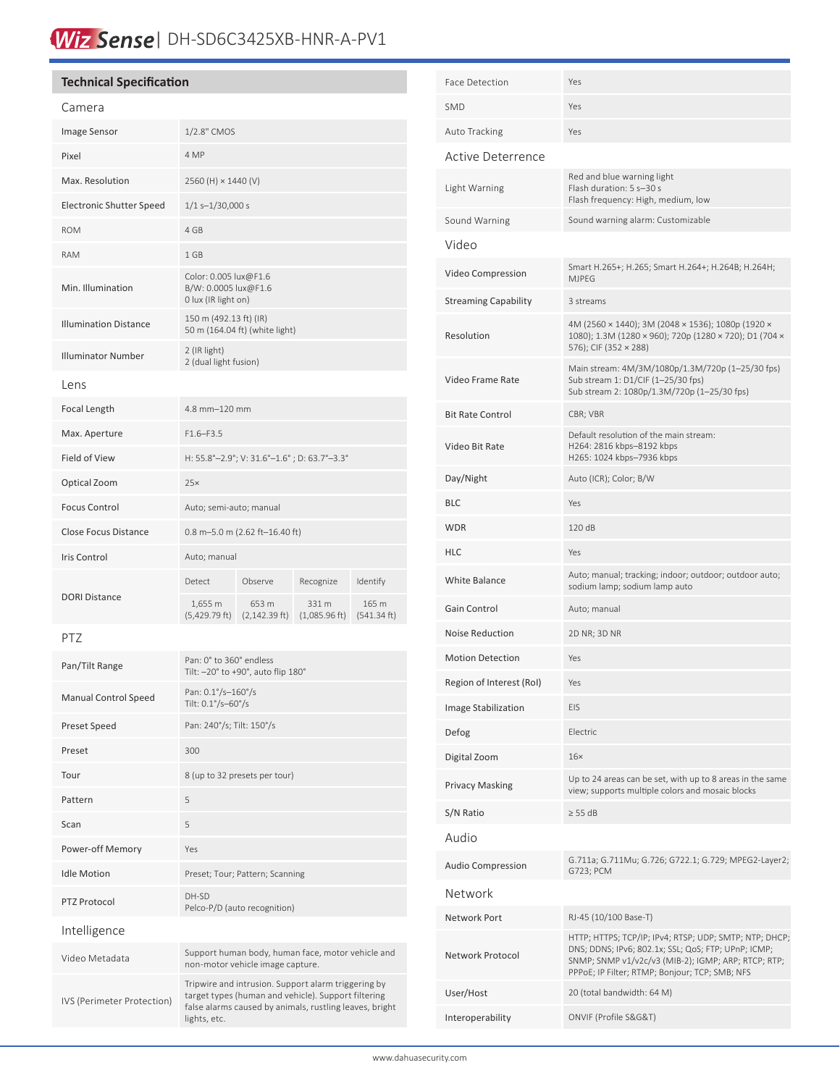## Wiz Sense | DH-SD6C3425XB-HNR-A-PV1

### **Technical Specification**

#### Camera

| Camera                          |                                                                                                                                                                                       |                           |                                  |                      |  |
|---------------------------------|---------------------------------------------------------------------------------------------------------------------------------------------------------------------------------------|---------------------------|----------------------------------|----------------------|--|
| Image Sensor                    | 1/2.8" CMOS                                                                                                                                                                           |                           |                                  |                      |  |
| Pixel                           | 4 MP                                                                                                                                                                                  |                           |                                  |                      |  |
| Max. Resolution                 | 2560 (H) × 1440 (V)                                                                                                                                                                   |                           |                                  |                      |  |
| <b>Electronic Shutter Speed</b> | $1/1$ s- $1/30,000$ s                                                                                                                                                                 |                           |                                  |                      |  |
| <b>ROM</b>                      | 4 GB                                                                                                                                                                                  |                           |                                  |                      |  |
| <b>RAM</b>                      | 1 GB                                                                                                                                                                                  |                           |                                  |                      |  |
| Min. Illumination               | Color: 0.005 lux@F1.6<br>B/W: 0.0005 lux@F1.6<br>0 lux (IR light on)                                                                                                                  |                           |                                  |                      |  |
| <b>Illumination Distance</b>    | 150 m (492.13 ft) (IR)<br>50 m (164.04 ft) (white light)                                                                                                                              |                           |                                  |                      |  |
| <b>Illuminator Number</b>       | 2 (IR light)<br>2 (dual light fusion)                                                                                                                                                 |                           |                                  |                      |  |
| Lens                            |                                                                                                                                                                                       |                           |                                  |                      |  |
| Focal Length                    | 4.8 mm-120 mm                                                                                                                                                                         |                           |                                  |                      |  |
| Max. Aperture                   | $F1.6 - F3.5$                                                                                                                                                                         |                           |                                  |                      |  |
| Field of View                   | H: 55.8°-2.9°; V: 31.6°-1.6°; D: 63.7°-3.3°                                                                                                                                           |                           |                                  |                      |  |
| Optical Zoom                    | 25x                                                                                                                                                                                   |                           |                                  |                      |  |
| <b>Focus Control</b>            | Auto; semi-auto; manual                                                                                                                                                               |                           |                                  |                      |  |
| <b>Close Focus Distance</b>     | 0.8 m-5.0 m (2.62 ft-16.40 ft)                                                                                                                                                        |                           |                                  |                      |  |
| <b>Iris Control</b>             | Auto; manual                                                                                                                                                                          |                           |                                  |                      |  |
| <b>DORI Distance</b>            | <b>Detect</b>                                                                                                                                                                         | Observe                   | Recognize                        | Identify             |  |
|                                 | 1,655 m<br>$(5,429.79 \text{ ft})$                                                                                                                                                    | 653 m<br>$(2,142.39$ ft)  | 331 m<br>$(1,085.96 \text{ ft})$ | 165 m<br>(541.34 ft) |  |
| PTZ                             |                                                                                                                                                                                       |                           |                                  |                      |  |
| Pan/Tilt Range                  | Pan: 0° to 360° endless<br>Tilt: - 20° to +90°, auto flip 180°                                                                                                                        |                           |                                  |                      |  |
| <b>Manual Control Speed</b>     | Pan: 0.1°/s-160°/s<br>Tilt: 0.1°/s-60°/s                                                                                                                                              |                           |                                  |                      |  |
| Preset Speed                    |                                                                                                                                                                                       | Pan: 240°/s; Tilt: 150°/s |                                  |                      |  |
| Preset                          | 300                                                                                                                                                                                   |                           |                                  |                      |  |
| Tour                            | 8 (up to 32 presets per tour)                                                                                                                                                         |                           |                                  |                      |  |
| Pattern                         | 5                                                                                                                                                                                     |                           |                                  |                      |  |
| Scan                            | 5                                                                                                                                                                                     |                           |                                  |                      |  |
| Power-off Memory                | Yes                                                                                                                                                                                   |                           |                                  |                      |  |
| <b>Idle Motion</b>              | Preset; Tour; Pattern; Scanning                                                                                                                                                       |                           |                                  |                      |  |
| PTZ Protocol                    | DH-SD<br>Pelco-P/D (auto recognition)                                                                                                                                                 |                           |                                  |                      |  |
| Intelligence                    |                                                                                                                                                                                       |                           |                                  |                      |  |
| Video Metadata                  | Support human body, human face, motor vehicle and<br>non-motor vehicle image capture.                                                                                                 |                           |                                  |                      |  |
| IVS (Perimeter Protection)      | Tripwire and intrusion. Support alarm triggering by<br>target types (human and vehicle). Support filtering<br>false alarms caused by animals, rustling leaves, bright<br>lights, etc. |                           |                                  |                      |  |

| Face Detection              | Yes                                                                                                                                                                                                                    |  |
|-----------------------------|------------------------------------------------------------------------------------------------------------------------------------------------------------------------------------------------------------------------|--|
| <b>SMD</b>                  | Yes                                                                                                                                                                                                                    |  |
| Auto Tracking               | Yes                                                                                                                                                                                                                    |  |
| Active Deterrence           |                                                                                                                                                                                                                        |  |
| Light Warning               | Red and blue warning light<br>Flash duration: 5 s-30 s<br>Flash frequency: High, medium, low                                                                                                                           |  |
| Sound Warning               | Sound warning alarm: Customizable                                                                                                                                                                                      |  |
| Video                       |                                                                                                                                                                                                                        |  |
| Video Compression           | Smart H.265+; H.265; Smart H.264+; H.264B; H.264H;<br><b>MJPEG</b>                                                                                                                                                     |  |
| <b>Streaming Capability</b> | 3 streams                                                                                                                                                                                                              |  |
| Resolution                  | 4M (2560 × 1440); 3M (2048 × 1536); 1080p (1920 ×<br>1080); 1.3M (1280 × 960); 720p (1280 × 720); D1 (704 ×<br>576); CIF (352 × 288)                                                                                   |  |
| Video Frame Rate            | Main stream: 4M/3M/1080p/1.3M/720p (1-25/30 fps)<br>Sub stream 1: D1/CIF (1-25/30 fps)<br>Sub stream 2: 1080p/1.3M/720p (1-25/30 fps)                                                                                  |  |
| <b>Bit Rate Control</b>     | CBR; VBR                                                                                                                                                                                                               |  |
| Video Bit Rate              | Default resolution of the main stream:<br>H264: 2816 kbps-8192 kbps<br>H265: 1024 kbps-7936 kbps                                                                                                                       |  |
| Day/Night                   | Auto (ICR); Color; B/W                                                                                                                                                                                                 |  |
| <b>BLC</b>                  | Yes                                                                                                                                                                                                                    |  |
| <b>WDR</b>                  | 120 dB                                                                                                                                                                                                                 |  |
| <b>HLC</b>                  | Yes                                                                                                                                                                                                                    |  |
| White Balance               | Auto; manual; tracking; indoor; outdoor; outdoor auto;<br>sodium lamp; sodium lamp auto                                                                                                                                |  |
| Gain Control                | Auto; manual                                                                                                                                                                                                           |  |
| Noise Reduction             | 2D NR; 3D NR                                                                                                                                                                                                           |  |
| <b>Motion Detection</b>     | Yes                                                                                                                                                                                                                    |  |
| Region of Interest (RoI)    | Yes                                                                                                                                                                                                                    |  |
| Image Stabilization         | EIS                                                                                                                                                                                                                    |  |
| Defog                       | Electric                                                                                                                                                                                                               |  |
| Digital Zoom                | $16\times$                                                                                                                                                                                                             |  |
| <b>Privacy Masking</b>      | Up to 24 areas can be set, with up to 8 areas in the same<br>view; supports multiple colors and mosaic blocks                                                                                                          |  |
| S/N Ratio                   | $\geq$ 55 dB                                                                                                                                                                                                           |  |
| Audio                       |                                                                                                                                                                                                                        |  |
| <b>Audio Compression</b>    | G.711a; G.711Mu; G.726; G722.1; G.729; MPEG2-Layer2;<br>G723; PCM                                                                                                                                                      |  |
| Network                     |                                                                                                                                                                                                                        |  |
| Network Port                | RJ-45 (10/100 Base-T)                                                                                                                                                                                                  |  |
| Network Protocol            | HTTP; HTTPS; TCP/IP; IPv4; RTSP; UDP; SMTP; NTP; DHCP;<br>DNS; DDNS; IPv6; 802.1x; SSL; QoS; FTP; UPnP; ICMP;<br>SNMP; SNMP v1/v2c/v3 (MIB-2); IGMP; ARP; RTCP; RTP;<br>PPPoE; IP Filter; RTMP; Bonjour; TCP; SMB; NFS |  |
| User/Host                   | 20 (total bandwidth: 64 M)                                                                                                                                                                                             |  |
| Interoperability            | ONVIF (Profile S&G&T)                                                                                                                                                                                                  |  |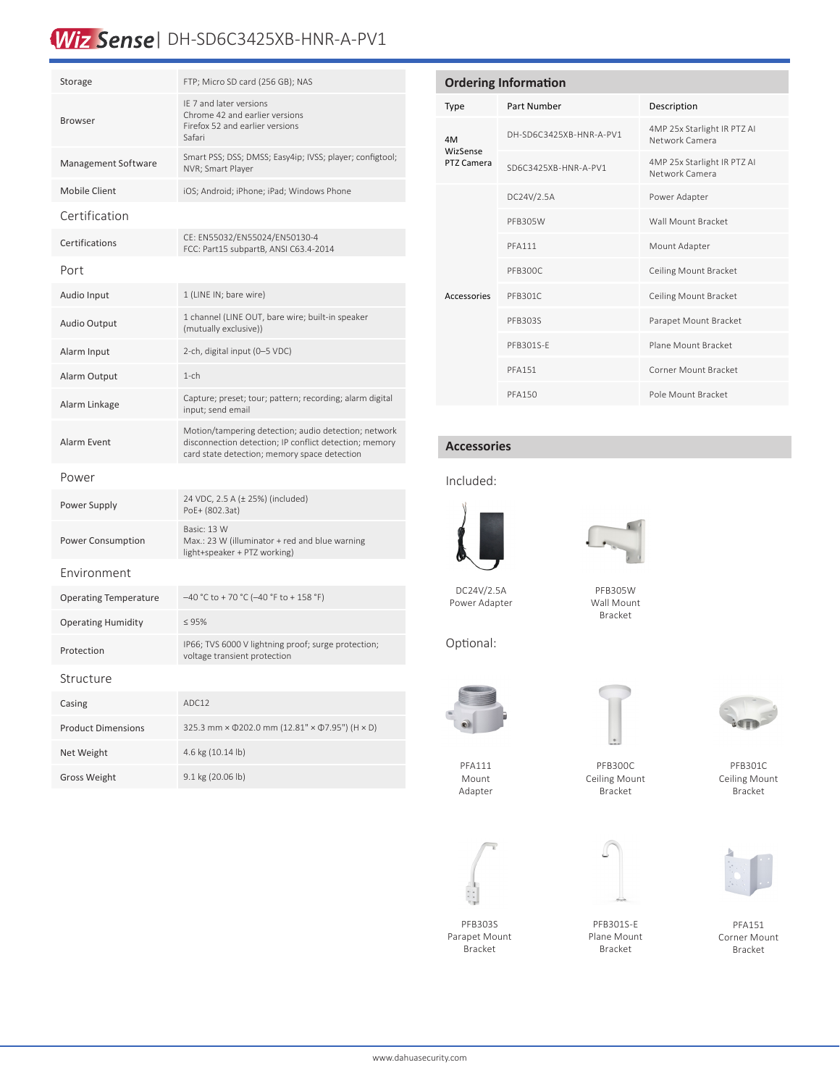### Wiz Sense | DH-SD6C3425XB-HNR-A-PV1

| Storage                      | FTP; Micro SD card (256 GB); NAS                                                                                                                               |
|------------------------------|----------------------------------------------------------------------------------------------------------------------------------------------------------------|
| <b>Browser</b>               | IE 7 and later versions<br>Chrome 42 and earlier versions<br>Firefox 52 and earlier versions<br>Safari                                                         |
| Management Software          | Smart PSS; DSS; DMSS; Easy4ip; IVSS; player; configtool;<br>NVR: Smart Plaver                                                                                  |
| Mobile Client                | iOS; Android; iPhone; iPad; Windows Phone                                                                                                                      |
| Certification                |                                                                                                                                                                |
| Certifications               | CE: EN55032/EN55024/EN50130-4<br>FCC: Part15 subpartB, ANSI C63.4-2014                                                                                         |
| Port                         |                                                                                                                                                                |
| Audio Input                  | 1 (LINE IN; bare wire)                                                                                                                                         |
| Audio Output                 | 1 channel (LINE OUT, bare wire; built-in speaker<br>(mutually exclusive))                                                                                      |
| Alarm Input                  | 2-ch, digital input (0-5 VDC)                                                                                                                                  |
| Alarm Output                 | $1$ -ch                                                                                                                                                        |
| Alarm Linkage                | Capture; preset; tour; pattern; recording; alarm digital<br>input; send email                                                                                  |
| <b>Alarm Event</b>           | Motion/tampering detection; audio detection; network<br>disconnection detection; IP conflict detection; memory<br>card state detection; memory space detection |
| Power                        |                                                                                                                                                                |
| Power Supply                 | 24 VDC, 2.5 A (± 25%) (included)<br>PoE+ (802.3at)                                                                                                             |
| Power Consumption            | Basic: 13 W<br>Max.: 23 W (illuminator + red and blue warning<br>light+speaker + PTZ working)                                                                  |
| Environment                  |                                                                                                                                                                |
| <b>Operating Temperature</b> | $-40$ °C to + 70 °C (-40 °F to + 158 °F)                                                                                                                       |
| <b>Operating Humidity</b>    | $\leq 95\%$                                                                                                                                                    |
| Protection                   | IP66; TVS 6000 V lightning proof; surge protection;<br>voltage transient protection                                                                            |
| Structure                    |                                                                                                                                                                |
| Casing                       | ADC12                                                                                                                                                          |
| <b>Product Dimensions</b>    | 325.3 mm × 0202.0 mm (12.81" × 07.95") (H × D)                                                                                                                 |
| Net Weight                   | 4.6 kg (10.14 lb)                                                                                                                                              |
| <b>Gross Weight</b>          | 9.1 kg (20.06 lb)                                                                                                                                              |

| <b>Ordering Information</b>  |                         |                                               |  |  |
|------------------------------|-------------------------|-----------------------------------------------|--|--|
| <b>Type</b>                  | Part Number             | Description                                   |  |  |
| 4M<br>WizSense<br>PTZ Camera | DH-SD6C3425XB-HNR-A-PV1 | 4MP 25x Starlight IR PTZ AI<br>Network Camera |  |  |
|                              | SD6C3425XB-HNR-A-PV1    | 4MP 25x Starlight IR PTZ AI<br>Network Camera |  |  |
| Accessories                  | DC24V/2.5A              | Power Adapter                                 |  |  |
|                              | <b>PFB305W</b>          | Wall Mount Bracket                            |  |  |
|                              | <b>PFA111</b>           | Mount Adapter                                 |  |  |
|                              | PFB300C                 | Ceiling Mount Bracket                         |  |  |
|                              | PFB301C                 | Ceiling Mount Bracket                         |  |  |
|                              | PFB303S                 | Parapet Mount Bracket                         |  |  |
|                              | PFB301S-F               | Plane Mount Bracket                           |  |  |
|                              | <b>PFA151</b>           | Corner Mount Bracket                          |  |  |
|                              | <b>PFA150</b>           | Pole Mount Bracket                            |  |  |

### **Accessories**

### Included:



DC24V/2.5A Power Adapter



PFB305W Wall Mount Bracket

Optional:



PFB300C Ceiling Mount Bracket



PFB301C Ceiling Mount Bracket



PFA151 Corner Mount Bracket

| PFA111  |  |
|---------|--|
| Mount   |  |
| Adapter |  |
|         |  |



Parapet Mount Bracket









PFB303S